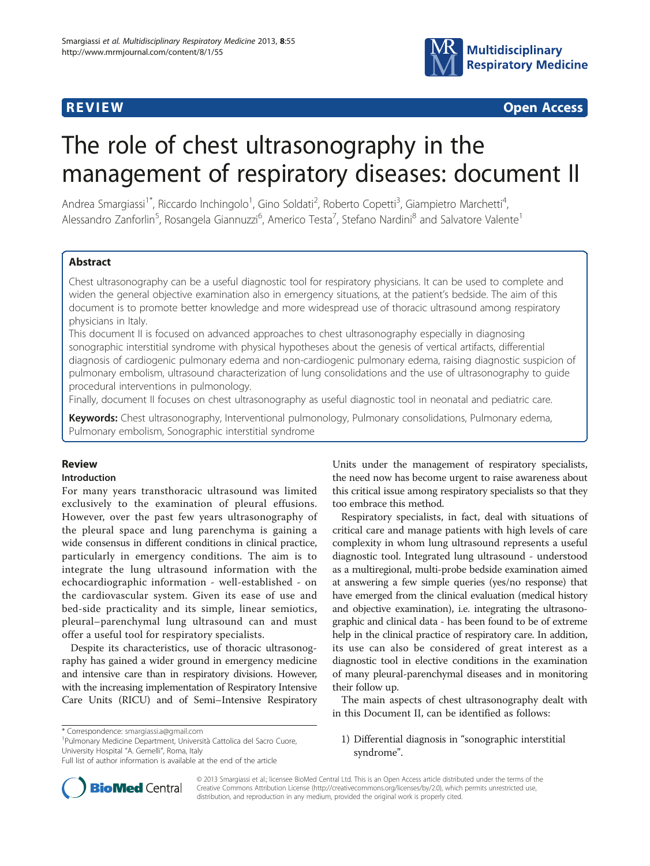

**REVIEW REVIEW CONSTRUCTION** 

# The role of chest ultrasonography in the management of respiratory diseases: document II

Andrea Smargiassi<sup>1\*</sup>, Riccardo Inchingolo<sup>1</sup>, Gino Soldati<sup>2</sup>, Roberto Copetti<sup>3</sup>, Giampietro Marchetti<sup>4</sup> , Alessandro Zanforlin<sup>5</sup>, Rosangela Giannuzzi<sup>6</sup>, Americo Testa<sup>7</sup>, Stefano Nardini<sup>8</sup> and Salvatore Valente<sup>1</sup>

# Abstract

Chest ultrasonography can be a useful diagnostic tool for respiratory physicians. It can be used to complete and widen the general objective examination also in emergency situations, at the patient's bedside. The aim of this document is to promote better knowledge and more widespread use of thoracic ultrasound among respiratory physicians in Italy.

This document II is focused on advanced approaches to chest ultrasonography especially in diagnosing sonographic interstitial syndrome with physical hypotheses about the genesis of vertical artifacts, differential diagnosis of cardiogenic pulmonary edema and non-cardiogenic pulmonary edema, raising diagnostic suspicion of pulmonary embolism, ultrasound characterization of lung consolidations and the use of ultrasonography to guide procedural interventions in pulmonology.

Finally, document II focuses on chest ultrasonography as useful diagnostic tool in neonatal and pediatric care.

Keywords: Chest ultrasonography, Interventional pulmonology, Pulmonary consolidations, Pulmonary edema, Pulmonary embolism, Sonographic interstitial syndrome

#### Review

#### Introduction

For many years transthoracic ultrasound was limited exclusively to the examination of pleural effusions. However, over the past few years ultrasonography of the pleural space and lung parenchyma is gaining a wide consensus in different conditions in clinical practice, particularly in emergency conditions. The aim is to integrate the lung ultrasound information with the echocardiographic information - well-established - on the cardiovascular system. Given its ease of use and bed-side practicality and its simple, linear semiotics, pleural–parenchymal lung ultrasound can and must offer a useful tool for respiratory specialists.

Despite its characteristics, use of thoracic ultrasonography has gained a wider ground in emergency medicine and intensive care than in respiratory divisions. However, with the increasing implementation of Respiratory Intensive Care Units (RICU) and of Semi–Intensive Respiratory

<sup>1</sup>Pulmonary Medicine Department, Università Cattolica del Sacro Cuore, University Hospital "A. Gemelli", Roma, Italy

Units under the management of respiratory specialists, the need now has become urgent to raise awareness about this critical issue among respiratory specialists so that they too embrace this method.

Respiratory specialists, in fact, deal with situations of critical care and manage patients with high levels of care complexity in whom lung ultrasound represents a useful diagnostic tool. Integrated lung ultrasound - understood as a multiregional, multi-probe bedside examination aimed at answering a few simple queries (yes/no response) that have emerged from the clinical evaluation (medical history and objective examination), i.e. integrating the ultrasonographic and clinical data - has been found to be of extreme help in the clinical practice of respiratory care. In addition, its use can also be considered of great interest as a diagnostic tool in elective conditions in the examination of many pleural-parenchymal diseases and in monitoring their follow up.

The main aspects of chest ultrasonography dealt with in this Document II, can be identified as follows:

# 1) Differential diagnosis in "sonographic interstitial syndrome".



© 2013 Smargiassi et al.; licensee BioMed Central Ltd. This is an Open Access article distributed under the terms of the Creative Commons Attribution License (<http://creativecommons.org/licenses/by/2.0>), which permits unrestricted use, distribution, and reproduction in any medium, provided the original work is properly cited.

<sup>\*</sup> Correspondence: [smargiassi.a@gmail.com](mailto:smargiassi.a@gmail.com) <sup>1</sup>

Full list of author information is available at the end of the article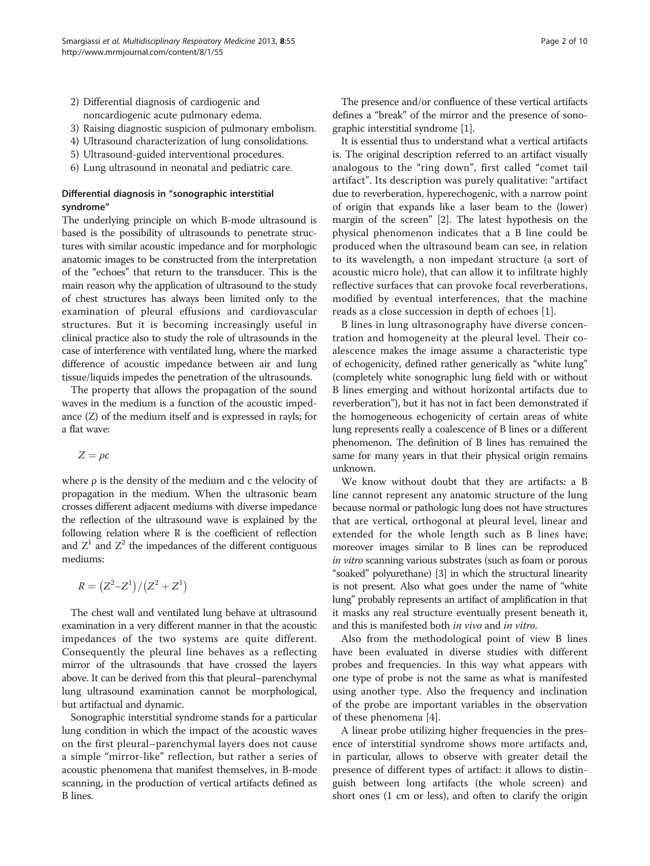- 2) Differential diagnosis of cardiogenic and noncardiogenic acute pulmonary edema.
- 3) Raising diagnostic suspicion of pulmonary embolism.
- 4) Ultrasound characterization of lung consolidations.
- 5) Ultrasound-guided interventional procedures.
- 6) Lung ultrasound in neonatal and pediatric care.

# Differential diagnosis in "sonographic interstitial syndrome"

The underlying principle on which B-mode ultrasound is based is the possibility of ultrasounds to penetrate structures with similar acoustic impedance and for morphologic anatomic images to be constructed from the interpretation of the "echoes" that return to the transducer. This is the main reason why the application of ultrasound to the study of chest structures has always been limited only to the examination of pleural effusions and cardiovascular structures. But it is becoming increasingly useful in clinical practice also to study the role of ultrasounds in the case of interference with ventilated lung, where the marked difference of acoustic impedance between air and lung tissue/liquids impedes the penetration of the ultrasounds.

The property that allows the propagation of the sound waves in the medium is a function of the acoustic impedance (Z) of the medium itself and is expressed in rayls; for a flat wave:

$$
Z=\rho c
$$

where  $\rho$  is the density of the medium and c the velocity of propagation in the medium. When the ultrasonic beam crosses different adjacent mediums with diverse impedance the reflection of the ultrasound wave is explained by the following relation where R is the coefficient of reflection and  $Z^1$  and  $Z^2$  the impedances of the different contiguous mediums:

$$
R = (Z^2 – Z^1) / (Z^2 + Z^1)
$$

The chest wall and ventilated lung behave at ultrasound examination in a very different manner in that the acoustic impedances of the two systems are quite different. Consequently the pleural line behaves as a reflecting mirror of the ultrasounds that have crossed the layers above. It can be derived from this that pleural–parenchymal lung ultrasound examination cannot be morphological, but artifactual and dynamic.

Sonographic interstitial syndrome stands for a particular lung condition in which the impact of the acoustic waves on the first pleural–parenchymal layers does not cause a simple "mirror-like" reflection, but rather a series of acoustic phenomena that manifest themselves, in B-mode scanning, in the production of vertical artifacts defined as B lines.

The presence and/or confluence of these vertical artifacts defines a "break" of the mirror and the presence of sonographic interstitial syndrome [\[1](#page-8-0)].

It is essential thus to understand what a vertical artifacts is. The original description referred to an artifact visually analogous to the "ring down", first called "comet tail artifact". Its description was purely qualitative: "artifact due to reverberation, hyperechogenic, with a narrow point of origin that expands like a laser beam to the (lower) margin of the screen" [[2\]](#page-8-0). The latest hypothesis on the physical phenomenon indicates that a B line could be produced when the ultrasound beam can see, in relation to its wavelength, a non impedant structure (a sort of acoustic micro hole), that can allow it to infiltrate highly reflective surfaces that can provoke focal reverberations, modified by eventual interferences, that the machine reads as a close succession in depth of echoes [\[1](#page-8-0)].

B lines in lung ultrasonography have diverse concentration and homogeneity at the pleural level. Their coalescence makes the image assume a characteristic type of echogenicity, defined rather generically as "white lung" (completely white sonographic lung field with or without B lines emerging and without horizontal artifacts due to reverberation"), but it has not in fact been demonstrated if the homogeneous echogenicity of certain areas of white lung represents really a coalescence of B lines or a different phenomenon. The definition of B lines has remained the same for many years in that their physical origin remains unknown.

We know without doubt that they are artifacts: a B line cannot represent any anatomic structure of the lung because normal or pathologic lung does not have structures that are vertical, orthogonal at pleural level, linear and extended for the whole length such as B lines have; moreover images similar to B lines can be reproduced in vitro scanning various substrates (such as foam or porous "soaked" polyurethane) [\[3](#page-8-0)] in which the structural linearity is not present. Also what goes under the name of "white lung" probably represents an artifact of amplification in that it masks any real structure eventually present beneath it, and this is manifested both in vivo and in vitro.

Also from the methodological point of view B lines have been evaluated in diverse studies with different probes and frequencies. In this way what appears with one type of probe is not the same as what is manifested using another type. Also the frequency and inclination of the probe are important variables in the observation of these phenomena [[4](#page-8-0)].

A linear probe utilizing higher frequencies in the presence of interstitial syndrome shows more artifacts and, in particular, allows to observe with greater detail the presence of different types of artifact: it allows to distinguish between long artifacts (the whole screen) and short ones (1 cm or less), and often to clarify the origin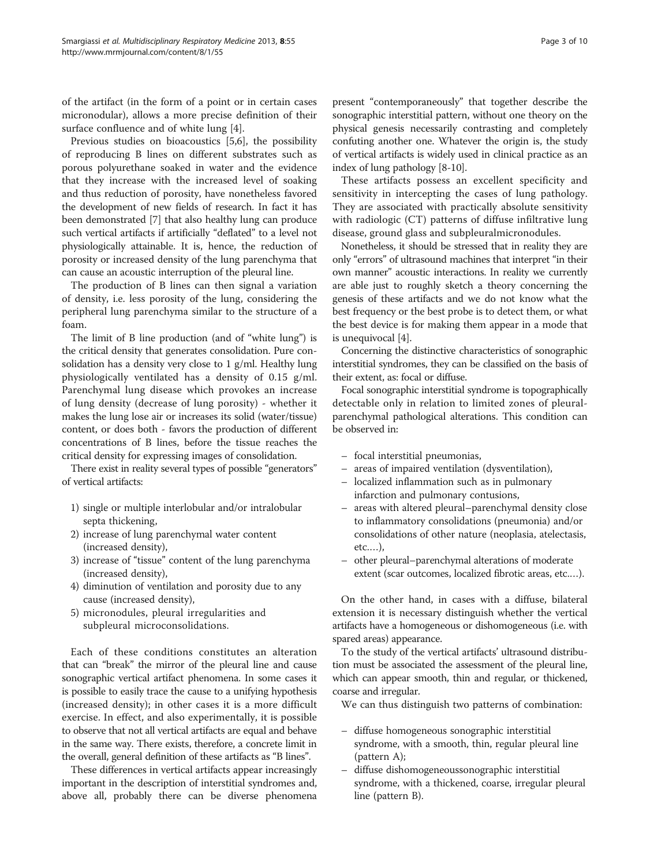of the artifact (in the form of a point or in certain cases micronodular), allows a more precise definition of their surface confluence and of white lung [\[4\]](#page-8-0).

Previous studies on bioacoustics [\[5,6](#page-8-0)], the possibility of reproducing B lines on different substrates such as porous polyurethane soaked in water and the evidence that they increase with the increased level of soaking and thus reduction of porosity, have nonetheless favored the development of new fields of research. In fact it has been demonstrated [[7\]](#page-8-0) that also healthy lung can produce such vertical artifacts if artificially "deflated" to a level not physiologically attainable. It is, hence, the reduction of porosity or increased density of the lung parenchyma that can cause an acoustic interruption of the pleural line.

The production of B lines can then signal a variation of density, i.e. less porosity of the lung, considering the peripheral lung parenchyma similar to the structure of a foam.

The limit of B line production (and of "white lung") is the critical density that generates consolidation. Pure consolidation has a density very close to 1 g/ml. Healthy lung physiologically ventilated has a density of 0.15 g/ml. Parenchymal lung disease which provokes an increase of lung density (decrease of lung porosity) - whether it makes the lung lose air or increases its solid (water/tissue) content, or does both - favors the production of different concentrations of B lines, before the tissue reaches the critical density for expressing images of consolidation.

There exist in reality several types of possible "generators" of vertical artifacts:

- 1) single or multiple interlobular and/or intralobular septa thickening,
- 2) increase of lung parenchymal water content (increased density),
- 3) increase of "tissue" content of the lung parenchyma (increased density),
- 4) diminution of ventilation and porosity due to any cause (increased density),
- 5) micronodules, pleural irregularities and subpleural microconsolidations.

Each of these conditions constitutes an alteration that can "break" the mirror of the pleural line and cause sonographic vertical artifact phenomena. In some cases it is possible to easily trace the cause to a unifying hypothesis (increased density); in other cases it is a more difficult exercise. In effect, and also experimentally, it is possible to observe that not all vertical artifacts are equal and behave in the same way. There exists, therefore, a concrete limit in the overall, general definition of these artifacts as "B lines".

These differences in vertical artifacts appear increasingly important in the description of interstitial syndromes and, above all, probably there can be diverse phenomena

present "contemporaneously" that together describe the sonographic interstitial pattern, without one theory on the physical genesis necessarily contrasting and completely confuting another one. Whatever the origin is, the study of vertical artifacts is widely used in clinical practice as an index of lung pathology [[8-10\]](#page-8-0).

These artifacts possess an excellent specificity and sensitivity in intercepting the cases of lung pathology. They are associated with practically absolute sensitivity with radiologic (CT) patterns of diffuse infiltrative lung disease, ground glass and subpleuralmicronodules.

Nonetheless, it should be stressed that in reality they are only "errors" of ultrasound machines that interpret "in their own manner" acoustic interactions. In reality we currently are able just to roughly sketch a theory concerning the genesis of these artifacts and we do not know what the best frequency or the best probe is to detect them, or what the best device is for making them appear in a mode that is unequivocal [\[4](#page-8-0)].

Concerning the distinctive characteristics of sonographic interstitial syndromes, they can be classified on the basis of their extent, as: focal or diffuse.

Focal sonographic interstitial syndrome is topographically detectable only in relation to limited zones of pleuralparenchymal pathological alterations. This condition can be observed in:

- focal interstitial pneumonias,
- areas of impaired ventilation (dysventilation),
- localized inflammation such as in pulmonary infarction and pulmonary contusions,
- areas with altered pleural–parenchymal density close to inflammatory consolidations (pneumonia) and/or consolidations of other nature (neoplasia, atelectasis, etc.…),
- other pleural–parenchymal alterations of moderate extent (scar outcomes, localized fibrotic areas, etc.…).

On the other hand, in cases with a diffuse, bilateral extension it is necessary distinguish whether the vertical artifacts have a homogeneous or dishomogeneous (i.e. with spared areas) appearance.

To the study of the vertical artifacts' ultrasound distribution must be associated the assessment of the pleural line, which can appear smooth, thin and regular, or thickened, coarse and irregular.

We can thus distinguish two patterns of combination:

- diffuse homogeneous sonographic interstitial syndrome, with a smooth, thin, regular pleural line (pattern A);
- diffuse dishomogeneoussonographic interstitial syndrome, with a thickened, coarse, irregular pleural line (pattern B).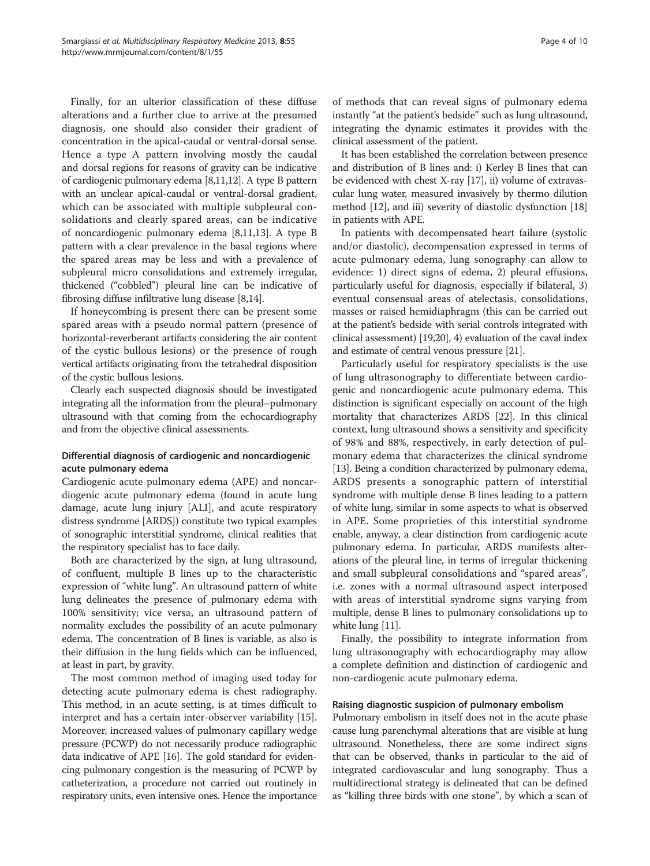Finally, for an ulterior classification of these diffuse alterations and a further clue to arrive at the presumed diagnosis, one should also consider their gradient of concentration in the apical-caudal or ventral-dorsal sense. Hence a type A pattern involving mostly the caudal and dorsal regions for reasons of gravity can be indicative of cardiogenic pulmonary edema [[8,11,](#page-8-0)[12](#page-9-0)]. A type B pattern with an unclear apical-caudal or ventral-dorsal gradient, which can be associated with multiple subpleural consolidations and clearly spared areas, can be indicative of noncardiogenic pulmonary edema [\[8,11,](#page-8-0)[13](#page-9-0)]. A type B pattern with a clear prevalence in the basal regions where the spared areas may be less and with a prevalence of subpleural micro consolidations and extremely irregular, thickened ("cobbled") pleural line can be indicative of fibrosing diffuse infiltrative lung disease [[8,](#page-8-0)[14](#page-9-0)].

If honeycombing is present there can be present some spared areas with a pseudo normal pattern (presence of horizontal-reverberant artifacts considering the air content of the cystic bullous lesions) or the presence of rough vertical artifacts originating from the tetrahedral disposition of the cystic bullous lesions.

Clearly each suspected diagnosis should be investigated integrating all the information from the pleural–pulmonary ultrasound with that coming from the echocardiography and from the objective clinical assessments.

# Differential diagnosis of cardiogenic and noncardiogenic acute pulmonary edema

Cardiogenic acute pulmonary edema (APE) and noncardiogenic acute pulmonary edema (found in acute lung damage, acute lung injury [ALI], and acute respiratory distress syndrome [ARDS]) constitute two typical examples of sonographic interstitial syndrome, clinical realities that the respiratory specialist has to face daily.

Both are characterized by the sign, at lung ultrasound, of confluent, multiple B lines up to the characteristic expression of "white lung". An ultrasound pattern of white lung delineates the presence of pulmonary edema with 100% sensitivity; vice versa, an ultrasound pattern of normality excludes the possibility of an acute pulmonary edema. The concentration of B lines is variable, as also is their diffusion in the lung fields which can be influenced, at least in part, by gravity.

The most common method of imaging used today for detecting acute pulmonary edema is chest radiography. This method, in an acute setting, is at times difficult to interpret and has a certain inter-observer variability [\[15](#page-9-0)]. Moreover, increased values of pulmonary capillary wedge pressure (PCWP) do not necessarily produce radiographic data indicative of APE [\[16\]](#page-9-0). The gold standard for evidencing pulmonary congestion is the measuring of PCWP by catheterization, a procedure not carried out routinely in respiratory units, even intensive ones. Hence the importance

of methods that can reveal signs of pulmonary edema instantly "at the patient's bedside" such as lung ultrasound, integrating the dynamic estimates it provides with the clinical assessment of the patient.

It has been established the correlation between presence and distribution of B lines and: i) Kerley B lines that can be evidenced with chest X-ray [\[17\]](#page-9-0), ii) volume of extravascular lung water, measured invasively by thermo dilution method [\[12\]](#page-9-0), and iii) severity of diastolic dysfunction [[18](#page-9-0)] in patients with APE.

In patients with decompensated heart failure (systolic and/or diastolic), decompensation expressed in terms of acute pulmonary edema, lung sonography can allow to evidence: 1) direct signs of edema, 2) pleural effusions, particularly useful for diagnosis, especially if bilateral, 3) eventual consensual areas of atelectasis, consolidations, masses or raised hemidiaphragm (this can be carried out at the patient's bedside with serial controls integrated with clinical assessment) [\[19,20](#page-9-0)], 4) evaluation of the caval index and estimate of central venous pressure [\[21\]](#page-9-0).

Particularly useful for respiratory specialists is the use of lung ultrasonography to differentiate between cardiogenic and noncardiogenic acute pulmonary edema. This distinction is significant especially on account of the high mortality that characterizes ARDS [\[22\]](#page-9-0). In this clinical context, lung ultrasound shows a sensitivity and specificity of 98% and 88%, respectively, in early detection of pulmonary edema that characterizes the clinical syndrome [[13](#page-9-0)]. Being a condition characterized by pulmonary edema, ARDS presents a sonographic pattern of interstitial syndrome with multiple dense B lines leading to a pattern of white lung, similar in some aspects to what is observed in APE. Some proprieties of this interstitial syndrome enable, anyway, a clear distinction from cardiogenic acute pulmonary edema. In particular, ARDS manifests alterations of the pleural line, in terms of irregular thickening and small subpleural consolidations and "spared areas", i.e. zones with a normal ultrasound aspect interposed with areas of interstitial syndrome signs varying from multiple, dense B lines to pulmonary consolidations up to white lung [[11](#page-8-0)].

Finally, the possibility to integrate information from lung ultrasonography with echocardiography may allow a complete definition and distinction of cardiogenic and non-cardiogenic acute pulmonary edema.

#### Raising diagnostic suspicion of pulmonary embolism

Pulmonary embolism in itself does not in the acute phase cause lung parenchymal alterations that are visible at lung ultrasound. Nonetheless, there are some indirect signs that can be observed, thanks in particular to the aid of integrated cardiovascular and lung sonography. Thus a multidirectional strategy is delineated that can be defined as "killing three birds with one stone", by which a scan of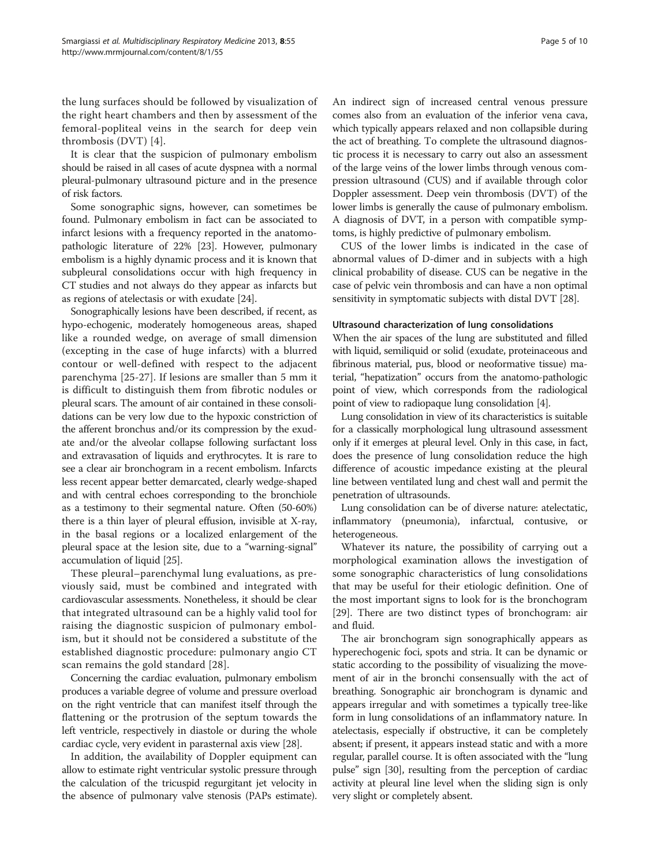the lung surfaces should be followed by visualization of the right heart chambers and then by assessment of the femoral-popliteal veins in the search for deep vein thrombosis (DVT) [[4](#page-8-0)].

It is clear that the suspicion of pulmonary embolism should be raised in all cases of acute dyspnea with a normal pleural-pulmonary ultrasound picture and in the presence of risk factors.

Some sonographic signs, however, can sometimes be found. Pulmonary embolism in fact can be associated to infarct lesions with a frequency reported in the anatomopathologic literature of 22% [\[23\]](#page-9-0). However, pulmonary embolism is a highly dynamic process and it is known that subpleural consolidations occur with high frequency in CT studies and not always do they appear as infarcts but as regions of atelectasis or with exudate [[24](#page-9-0)].

Sonographically lesions have been described, if recent, as hypo-echogenic, moderately homogeneous areas, shaped like a rounded wedge, on average of small dimension (excepting in the case of huge infarcts) with a blurred contour or well-defined with respect to the adjacent parenchyma [[25-27](#page-9-0)]. If lesions are smaller than 5 mm it is difficult to distinguish them from fibrotic nodules or pleural scars. The amount of air contained in these consolidations can be very low due to the hypoxic constriction of the afferent bronchus and/or its compression by the exudate and/or the alveolar collapse following surfactant loss and extravasation of liquids and erythrocytes. It is rare to see a clear air bronchogram in a recent embolism. Infarcts less recent appear better demarcated, clearly wedge-shaped and with central echoes corresponding to the bronchiole as a testimony to their segmental nature. Often (50-60%) there is a thin layer of pleural effusion, invisible at X-ray, in the basal regions or a localized enlargement of the pleural space at the lesion site, due to a "warning-signal" accumulation of liquid [[25](#page-9-0)].

These pleural–parenchymal lung evaluations, as previously said, must be combined and integrated with cardiovascular assessments. Nonetheless, it should be clear that integrated ultrasound can be a highly valid tool for raising the diagnostic suspicion of pulmonary embolism, but it should not be considered a substitute of the established diagnostic procedure: pulmonary angio CT scan remains the gold standard [\[28\]](#page-9-0).

Concerning the cardiac evaluation, pulmonary embolism produces a variable degree of volume and pressure overload on the right ventricle that can manifest itself through the flattening or the protrusion of the septum towards the left ventricle, respectively in diastole or during the whole cardiac cycle, very evident in parasternal axis view [\[28\]](#page-9-0).

In addition, the availability of Doppler equipment can allow to estimate right ventricular systolic pressure through the calculation of the tricuspid regurgitant jet velocity in the absence of pulmonary valve stenosis (PAPs estimate).

An indirect sign of increased central venous pressure comes also from an evaluation of the inferior vena cava, which typically appears relaxed and non collapsible during the act of breathing. To complete the ultrasound diagnostic process it is necessary to carry out also an assessment of the large veins of the lower limbs through venous compression ultrasound (CUS) and if available through color Doppler assessment. Deep vein thrombosis (DVT) of the lower limbs is generally the cause of pulmonary embolism. A diagnosis of DVT, in a person with compatible symptoms, is highly predictive of pulmonary embolism.

CUS of the lower limbs is indicated in the case of abnormal values of D-dimer and in subjects with a high clinical probability of disease. CUS can be negative in the case of pelvic vein thrombosis and can have a non optimal sensitivity in symptomatic subjects with distal DVT [\[28\]](#page-9-0).

#### Ultrasound characterization of lung consolidations

When the air spaces of the lung are substituted and filled with liquid, semiliquid or solid (exudate, proteinaceous and fibrinous material, pus, blood or neoformative tissue) material, "hepatization" occurs from the anatomo-pathologic point of view, which corresponds from the radiological point of view to radiopaque lung consolidation [\[4\]](#page-8-0).

Lung consolidation in view of its characteristics is suitable for a classically morphological lung ultrasound assessment only if it emerges at pleural level. Only in this case, in fact, does the presence of lung consolidation reduce the high difference of acoustic impedance existing at the pleural line between ventilated lung and chest wall and permit the penetration of ultrasounds.

Lung consolidation can be of diverse nature: atelectatic, inflammatory (pneumonia), infarctual, contusive, or heterogeneous.

Whatever its nature, the possibility of carrying out a morphological examination allows the investigation of some sonographic characteristics of lung consolidations that may be useful for their etiologic definition. One of the most important signs to look for is the bronchogram [[29\]](#page-9-0). There are two distinct types of bronchogram: air and fluid.

The air bronchogram sign sonographically appears as hyperechogenic foci, spots and stria. It can be dynamic or static according to the possibility of visualizing the movement of air in the bronchi consensually with the act of breathing. Sonographic air bronchogram is dynamic and appears irregular and with sometimes a typically tree-like form in lung consolidations of an inflammatory nature. In atelectasis, especially if obstructive, it can be completely absent; if present, it appears instead static and with a more regular, parallel course. It is often associated with the "lung pulse" sign [[30](#page-9-0)], resulting from the perception of cardiac activity at pleural line level when the sliding sign is only very slight or completely absent.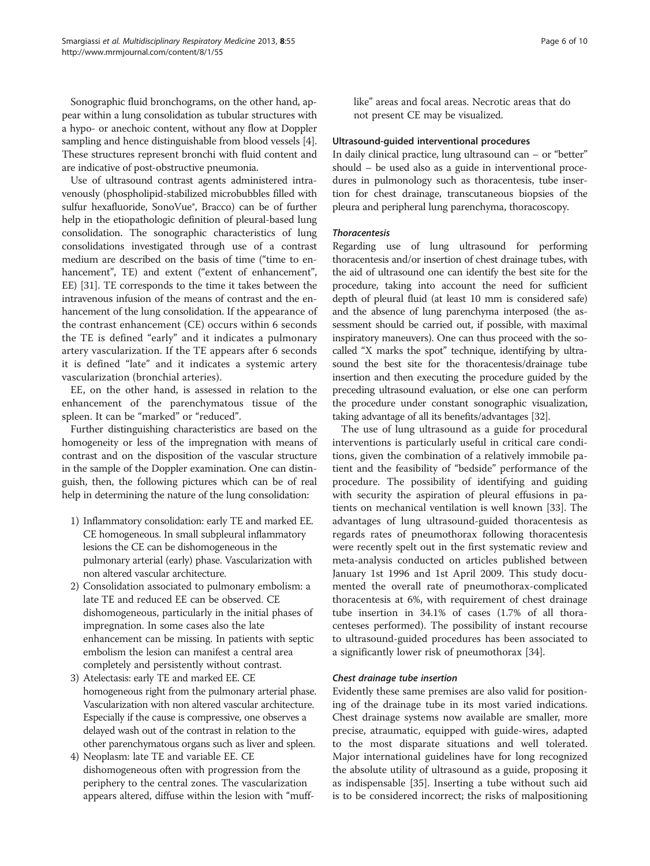Sonographic fluid bronchograms, on the other hand, appear within a lung consolidation as tubular structures with a hypo- or anechoic content, without any flow at Doppler sampling and hence distinguishable from blood vessels [[4](#page-8-0)]. These structures represent bronchi with fluid content and are indicative of post-obstructive pneumonia.

Use of ultrasound contrast agents administered intravenously (phospholipid-stabilized microbubbles filled with sulfur hexafluoride, SonoVue®, Bracco) can be of further help in the etiopathologic definition of pleural-based lung consolidation. The sonographic characteristics of lung consolidations investigated through use of a contrast medium are described on the basis of time ("time to enhancement", TE) and extent ("extent of enhancement", EE) [[31](#page-9-0)]. TE corresponds to the time it takes between the intravenous infusion of the means of contrast and the enhancement of the lung consolidation. If the appearance of the contrast enhancement (CE) occurs within 6 seconds the TE is defined "early" and it indicates a pulmonary artery vascularization. If the TE appears after 6 seconds it is defined "late" and it indicates a systemic artery vascularization (bronchial arteries).

EE, on the other hand, is assessed in relation to the enhancement of the parenchymatous tissue of the spleen. It can be "marked" or "reduced".

Further distinguishing characteristics are based on the homogeneity or less of the impregnation with means of contrast and on the disposition of the vascular structure in the sample of the Doppler examination. One can distinguish, then, the following pictures which can be of real help in determining the nature of the lung consolidation:

- 1) Inflammatory consolidation: early TE and marked EE. CE homogeneous. In small subpleural inflammatory lesions the CE can be dishomogeneous in the pulmonary arterial (early) phase. Vascularization with non altered vascular architecture.
- 2) Consolidation associated to pulmonary embolism: a late TE and reduced EE can be observed. CE dishomogeneous, particularly in the initial phases of impregnation. In some cases also the late enhancement can be missing. In patients with septic embolism the lesion can manifest a central area completely and persistently without contrast.
- 3) Atelectasis: early TE and marked EE. CE homogeneous right from the pulmonary arterial phase. Vascularization with non altered vascular architecture. Especially if the cause is compressive, one observes a delayed wash out of the contrast in relation to the other parenchymatous organs such as liver and spleen.
- 4) Neoplasm: late TE and variable EE. CE dishomogeneous often with progression from the periphery to the central zones. The vascularization appears altered, diffuse within the lesion with "muff-

like" areas and focal areas. Necrotic areas that do not present CE may be visualized.

#### Ultrasound-guided interventional procedures

In daily clinical practice, lung ultrasound can – or "better" should – be used also as a guide in interventional procedures in pulmonology such as thoracentesis, tube insertion for chest drainage, transcutaneous biopsies of the pleura and peripheral lung parenchyma, thoracoscopy.

#### **Thoracentesis**

Regarding use of lung ultrasound for performing thoracentesis and/or insertion of chest drainage tubes, with the aid of ultrasound one can identify the best site for the procedure, taking into account the need for sufficient depth of pleural fluid (at least 10 mm is considered safe) and the absence of lung parenchyma interposed (the assessment should be carried out, if possible, with maximal inspiratory maneuvers). One can thus proceed with the socalled "X marks the spot" technique, identifying by ultrasound the best site for the thoracentesis/drainage tube insertion and then executing the procedure guided by the preceding ultrasound evaluation, or else one can perform the procedure under constant sonographic visualization, taking advantage of all its benefits/advantages [\[32](#page-9-0)].

The use of lung ultrasound as a guide for procedural interventions is particularly useful in critical care conditions, given the combination of a relatively immobile patient and the feasibility of "bedside" performance of the procedure. The possibility of identifying and guiding with security the aspiration of pleural effusions in patients on mechanical ventilation is well known [\[33\]](#page-9-0). The advantages of lung ultrasound-guided thoracentesis as regards rates of pneumothorax following thoracentesis were recently spelt out in the first systematic review and meta-analysis conducted on articles published between January 1st 1996 and 1st April 2009. This study documented the overall rate of pneumothorax-complicated thoracentesis at 6%, with requirement of chest drainage tube insertion in 34.1% of cases (1.7% of all thoracenteses performed). The possibility of instant recourse to ultrasound-guided procedures has been associated to a significantly lower risk of pneumothorax [[34](#page-9-0)].

#### Chest drainage tube insertion

Evidently these same premises are also valid for positioning of the drainage tube in its most varied indications. Chest drainage systems now available are smaller, more precise, atraumatic, equipped with guide-wires, adapted to the most disparate situations and well tolerated. Major international guidelines have for long recognized the absolute utility of ultrasound as a guide, proposing it as indispensable [[35\]](#page-9-0). Inserting a tube without such aid is to be considered incorrect; the risks of malpositioning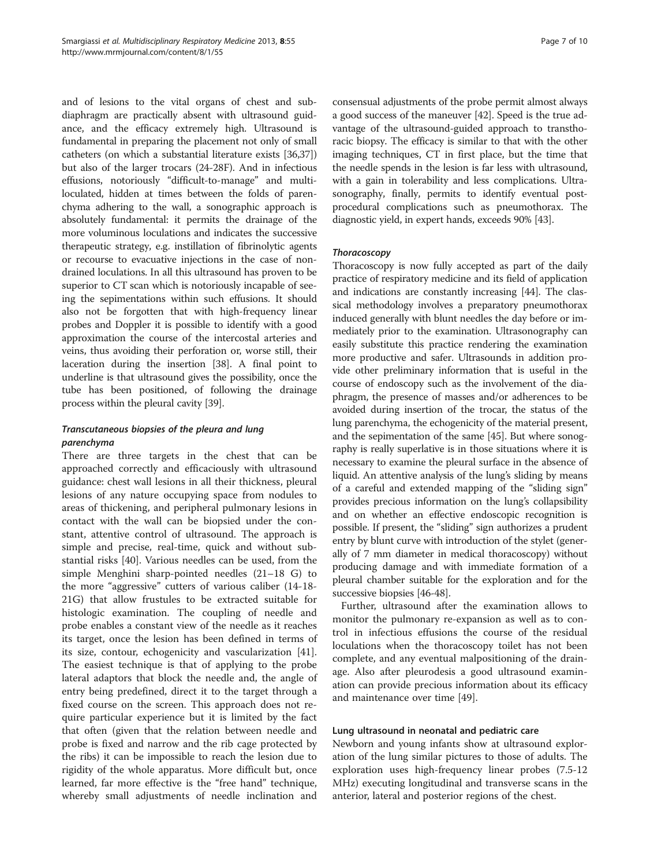and of lesions to the vital organs of chest and subdiaphragm are practically absent with ultrasound guidance, and the efficacy extremely high. Ultrasound is fundamental in preparing the placement not only of small catheters (on which a substantial literature exists [\[36,37](#page-9-0)]) but also of the larger trocars (24-28F). And in infectious effusions, notoriously "difficult-to-manage" and multiloculated, hidden at times between the folds of parenchyma adhering to the wall, a sonographic approach is absolutely fundamental: it permits the drainage of the more voluminous loculations and indicates the successive therapeutic strategy, e.g. instillation of fibrinolytic agents or recourse to evacuative injections in the case of nondrained loculations. In all this ultrasound has proven to be superior to CT scan which is notoriously incapable of seeing the sepimentations within such effusions. It should also not be forgotten that with high-frequency linear probes and Doppler it is possible to identify with a good approximation the course of the intercostal arteries and veins, thus avoiding their perforation or, worse still, their laceration during the insertion [[38](#page-9-0)]. A final point to underline is that ultrasound gives the possibility, once the tube has been positioned, of following the drainage process within the pleural cavity [[39](#page-9-0)].

# Transcutaneous biopsies of the pleura and lung parenchyma

There are three targets in the chest that can be approached correctly and efficaciously with ultrasound guidance: chest wall lesions in all their thickness, pleural lesions of any nature occupying space from nodules to areas of thickening, and peripheral pulmonary lesions in contact with the wall can be biopsied under the constant, attentive control of ultrasound. The approach is simple and precise, real-time, quick and without substantial risks [[40](#page-9-0)]. Various needles can be used, from the simple Menghini sharp-pointed needles (21–18 G) to the more "aggressive" cutters of various caliber (14-18- 21G) that allow frustules to be extracted suitable for histologic examination. The coupling of needle and probe enables a constant view of the needle as it reaches its target, once the lesion has been defined in terms of its size, contour, echogenicity and vascularization [\[41](#page-9-0)]. The easiest technique is that of applying to the probe lateral adaptors that block the needle and, the angle of entry being predefined, direct it to the target through a fixed course on the screen. This approach does not require particular experience but it is limited by the fact that often (given that the relation between needle and probe is fixed and narrow and the rib cage protected by the ribs) it can be impossible to reach the lesion due to rigidity of the whole apparatus. More difficult but, once learned, far more effective is the "free hand" technique, whereby small adjustments of needle inclination and

consensual adjustments of the probe permit almost always a good success of the maneuver [\[42\]](#page-9-0). Speed is the true advantage of the ultrasound-guided approach to transthoracic biopsy. The efficacy is similar to that with the other imaging techniques, CT in first place, but the time that the needle spends in the lesion is far less with ultrasound, with a gain in tolerability and less complications. Ultrasonography, finally, permits to identify eventual postprocedural complications such as pneumothorax. The diagnostic yield, in expert hands, exceeds 90% [\[43\]](#page-9-0).

# **Thoracoscopy**

Thoracoscopy is now fully accepted as part of the daily practice of respiratory medicine and its field of application and indications are constantly increasing [[44](#page-9-0)]. The classical methodology involves a preparatory pneumothorax induced generally with blunt needles the day before or immediately prior to the examination. Ultrasonography can easily substitute this practice rendering the examination more productive and safer. Ultrasounds in addition provide other preliminary information that is useful in the course of endoscopy such as the involvement of the diaphragm, the presence of masses and/or adherences to be avoided during insertion of the trocar, the status of the lung parenchyma, the echogenicity of the material present, and the sepimentation of the same [[45](#page-9-0)]. But where sonography is really superlative is in those situations where it is necessary to examine the pleural surface in the absence of liquid. An attentive analysis of the lung's sliding by means of a careful and extended mapping of the "sliding sign" provides precious information on the lung's collapsibility and on whether an effective endoscopic recognition is possible. If present, the "sliding" sign authorizes a prudent entry by blunt curve with introduction of the stylet (generally of 7 mm diameter in medical thoracoscopy) without producing damage and with immediate formation of a pleural chamber suitable for the exploration and for the successive biopsies [\[46-48\]](#page-9-0).

Further, ultrasound after the examination allows to monitor the pulmonary re-expansion as well as to control in infectious effusions the course of the residual loculations when the thoracoscopy toilet has not been complete, and any eventual malpositioning of the drainage. Also after pleurodesis a good ultrasound examination can provide precious information about its efficacy and maintenance over time [[49\]](#page-9-0).

#### Lung ultrasound in neonatal and pediatric care

Newborn and young infants show at ultrasound exploration of the lung similar pictures to those of adults. The exploration uses high-frequency linear probes (7.5-12 MHz) executing longitudinal and transverse scans in the anterior, lateral and posterior regions of the chest.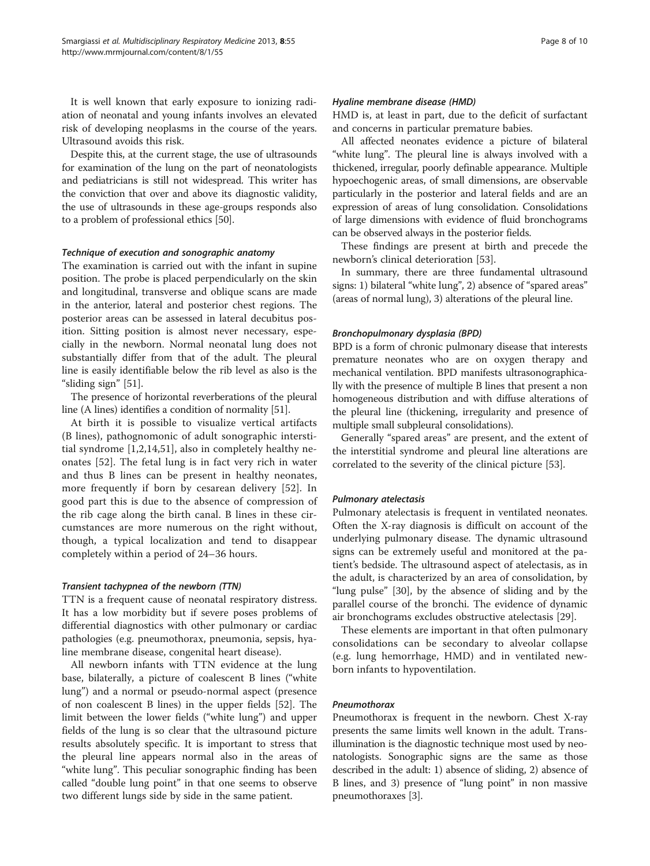It is well known that early exposure to ionizing radiation of neonatal and young infants involves an elevated risk of developing neoplasms in the course of the years. Ultrasound avoids this risk.

Despite this, at the current stage, the use of ultrasounds for examination of the lung on the part of neonatologists and pediatricians is still not widespread. This writer has the conviction that over and above its diagnostic validity, the use of ultrasounds in these age-groups responds also to a problem of professional ethics [\[50\]](#page-9-0).

#### Technique of execution and sonographic anatomy

The examination is carried out with the infant in supine position. The probe is placed perpendicularly on the skin and longitudinal, transverse and oblique scans are made in the anterior, lateral and posterior chest regions. The posterior areas can be assessed in lateral decubitus position. Sitting position is almost never necessary, especially in the newborn. Normal neonatal lung does not substantially differ from that of the adult. The pleural line is easily identifiable below the rib level as also is the "sliding sign" [\[51\]](#page-9-0).

The presence of horizontal reverberations of the pleural line (A lines) identifies a condition of normality [\[51\]](#page-9-0).

At birth it is possible to visualize vertical artifacts (B lines), pathognomonic of adult sonographic interstitial syndrome [[1,2](#page-8-0)[,14](#page-9-0),[51\]](#page-9-0), also in completely healthy neonates [[52\]](#page-9-0). The fetal lung is in fact very rich in water and thus B lines can be present in healthy neonates, more frequently if born by cesarean delivery [\[52](#page-9-0)]. In good part this is due to the absence of compression of the rib cage along the birth canal. B lines in these circumstances are more numerous on the right without, though, a typical localization and tend to disappear completely within a period of 24–36 hours.

#### Transient tachypnea of the newborn (TTN)

TTN is a frequent cause of neonatal respiratory distress. It has a low morbidity but if severe poses problems of differential diagnostics with other pulmonary or cardiac pathologies (e.g. pneumothorax, pneumonia, sepsis, hyaline membrane disease, congenital heart disease).

All newborn infants with TTN evidence at the lung base, bilaterally, a picture of coalescent B lines ("white lung") and a normal or pseudo-normal aspect (presence of non coalescent B lines) in the upper fields [\[52](#page-9-0)]. The limit between the lower fields ("white lung") and upper fields of the lung is so clear that the ultrasound picture results absolutely specific. It is important to stress that the pleural line appears normal also in the areas of "white lung". This peculiar sonographic finding has been called "double lung point" in that one seems to observe two different lungs side by side in the same patient.

#### Hyaline membrane disease (HMD)

HMD is, at least in part, due to the deficit of surfactant and concerns in particular premature babies.

All affected neonates evidence a picture of bilateral "white lung". The pleural line is always involved with a thickened, irregular, poorly definable appearance. Multiple hypoechogenic areas, of small dimensions, are observable particularly in the posterior and lateral fields and are an expression of areas of lung consolidation. Consolidations of large dimensions with evidence of fluid bronchograms can be observed always in the posterior fields.

These findings are present at birth and precede the newborn's clinical deterioration [[53](#page-9-0)].

In summary, there are three fundamental ultrasound signs: 1) bilateral "white lung", 2) absence of "spared areas" (areas of normal lung), 3) alterations of the pleural line.

#### Bronchopulmonary dysplasia (BPD)

BPD is a form of chronic pulmonary disease that interests premature neonates who are on oxygen therapy and mechanical ventilation. BPD manifests ultrasonographically with the presence of multiple B lines that present a non homogeneous distribution and with diffuse alterations of the pleural line (thickening, irregularity and presence of multiple small subpleural consolidations).

Generally "spared areas" are present, and the extent of the interstitial syndrome and pleural line alterations are correlated to the severity of the clinical picture [\[53\]](#page-9-0).

#### Pulmonary atelectasis

Pulmonary atelectasis is frequent in ventilated neonates. Often the X-ray diagnosis is difficult on account of the underlying pulmonary disease. The dynamic ultrasound signs can be extremely useful and monitored at the patient's bedside. The ultrasound aspect of atelectasis, as in the adult, is characterized by an area of consolidation, by "lung pulse" [[30\]](#page-9-0), by the absence of sliding and by the parallel course of the bronchi. The evidence of dynamic air bronchograms excludes obstructive atelectasis [\[29](#page-9-0)].

These elements are important in that often pulmonary consolidations can be secondary to alveolar collapse (e.g. lung hemorrhage, HMD) and in ventilated newborn infants to hypoventilation.

#### Pneumothorax

Pneumothorax is frequent in the newborn. Chest X-ray presents the same limits well known in the adult. Transillumination is the diagnostic technique most used by neonatologists. Sonographic signs are the same as those described in the adult: 1) absence of sliding, 2) absence of B lines, and 3) presence of "lung point" in non massive pneumothoraxes [\[3](#page-8-0)].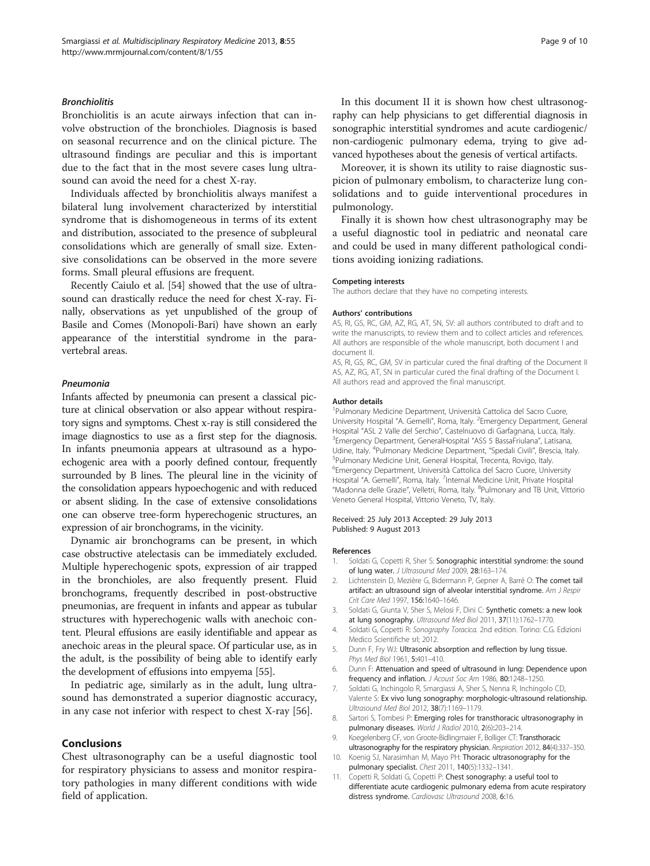#### <span id="page-8-0"></span>**Bronchiolitis**

Bronchiolitis is an acute airways infection that can involve obstruction of the bronchioles. Diagnosis is based on seasonal recurrence and on the clinical picture. The ultrasound findings are peculiar and this is important due to the fact that in the most severe cases lung ultrasound can avoid the need for a chest X-ray.

Individuals affected by bronchiolitis always manifest a bilateral lung involvement characterized by interstitial syndrome that is dishomogeneous in terms of its extent and distribution, associated to the presence of subpleural consolidations which are generally of small size. Extensive consolidations can be observed in the more severe forms. Small pleural effusions are frequent.

Recently Caiulo et al. [\[54\]](#page-9-0) showed that the use of ultrasound can drastically reduce the need for chest X-ray. Finally, observations as yet unpublished of the group of Basile and Comes (Monopoli-Bari) have shown an early appearance of the interstitial syndrome in the paravertebral areas.

#### Pneumonia

Infants affected by pneumonia can present a classical picture at clinical observation or also appear without respiratory signs and symptoms. Chest x-ray is still considered the image diagnostics to use as a first step for the diagnosis. In infants pneumonia appears at ultrasound as a hypoechogenic area with a poorly defined contour, frequently surrounded by B lines. The pleural line in the vicinity of the consolidation appears hypoechogenic and with reduced or absent sliding. In the case of extensive consolidations one can observe tree-form hyperechogenic structures, an expression of air bronchograms, in the vicinity.

Dynamic air bronchograms can be present, in which case obstructive atelectasis can be immediately excluded. Multiple hyperechogenic spots, expression of air trapped in the bronchioles, are also frequently present. Fluid bronchograms, frequently described in post-obstructive pneumonias, are frequent in infants and appear as tubular structures with hyperechogenic walls with anechoic content. Pleural effusions are easily identifiable and appear as anechoic areas in the pleural space. Of particular use, as in the adult, is the possibility of being able to identify early the development of effusions into empyema [\[55\]](#page-9-0).

In pediatric age, similarly as in the adult, lung ultrasound has demonstrated a superior diagnostic accuracy, in any case not inferior with respect to chest X-ray [\[56](#page-9-0)].

## Conclusions

Chest ultrasonography can be a useful diagnostic tool for respiratory physicians to assess and monitor respiratory pathologies in many different conditions with wide field of application.

In this document II it is shown how chest ultrasonography can help physicians to get differential diagnosis in sonographic interstitial syndromes and acute cardiogenic/ non-cardiogenic pulmonary edema, trying to give advanced hypotheses about the genesis of vertical artifacts.

Moreover, it is shown its utility to raise diagnostic suspicion of pulmonary embolism, to characterize lung consolidations and to guide interventional procedures in pulmonology.

Finally it is shown how chest ultrasonography may be a useful diagnostic tool in pediatric and neonatal care and could be used in many different pathological conditions avoiding ionizing radiations.

#### Competing interests

The authors declare that they have no competing interests.

#### Authors' contributions

AS, RI, GS, RC, GM, AZ, RG, AT, SN, SV: all authors contributed to draft and to write the manuscripts, to review them and to collect articles and references. All authors are responsible of the whole manuscript, both document I and document II.

AS, RI, GS, RC, GM, SV in particular cured the final drafting of the Document II AS, AZ, RG, AT, SN in particular cured the final drafting of the Document I. All authors read and approved the final manuscript.

#### Author details

<sup>1</sup>Pulmonary Medicine Department, Università Cattolica del Sacro Cuore University Hospital "A. Gemelli", Roma, Italy. <sup>2</sup>Emergency Department, General Hospital "ASL 2 Valle del Serchio", Castelnuovo di Garfagnana, Lucca, Italy. <sup>3</sup> <sup>3</sup> Emergency Department, GeneralHospital "ASS 5 BassaFriulana", Latisana, Udine, Italy. <sup>4</sup>Pulmonary Medicine Department, "Spedali Civili", Brescia, Italy.<br><sup>5</sup>Pulmonary Medicine Unit, General Hespital, Trecenta Bovigo, Italy. <sup>5</sup>Pulmonary Medicine Unit, General Hospital, Trecenta, Rovigo, Italy. 6 Emergency Department, Università Cattolica del Sacro Cuore, University Hospital "A. Gemelli", Roma, Italy. <sup>7</sup>Internal Medicine Unit, Private Hospital "Madonna delle Grazie", Velletri, Roma, Italy. <sup>8</sup>Pulmonary and TB Unit, Vittoric Veneto General Hospital, Vittorio Veneto, TV, Italy.

#### Received: 25 July 2013 Accepted: 29 July 2013 Published: 9 August 2013

#### References

- 1. Soldati G, Copetti R, Sher S: Sonographic interstitial syndrome: the sound of lung water. J Ultrasound Med 2009, 28:163-174.
- 2. Lichtenstein D, Mezière G, Bidermann P, Gepner A, Barré O: The comet tail artifact: an ultrasound sign of alveolar interstitial syndrome. Am J Respir Crit Care Med 1997, 156:1640–1646.
- 3. Soldati G, Giunta V, Sher S, Melosi F, Dini C: Synthetic comets: a new look at lung sonography. Ultrasound Med Biol 2011, 37(11):1762–1770.
- 4. Soldati G, Copetti R: Sonography Toracica. 2nd edition. Torino: C.G. Edizioni Medico Scientifiche srl; 2012.
- 5. Dunn F, Fry WJ: Ultrasonic absorption and reflection by lung tissue. Phys Med Biol 1961, 5:401–410.
- 6. Dunn F: Attenuation and speed of ultrasound in lung: Dependence upon frequency and inflation. J Acoust Soc Am 1986, 80:1248–1250.
- 7. Soldati G, Inchingolo R, Smargiassi A, Sher S, Nenna R, Inchingolo CD, Valente S: Ex vivo lung sonography: morphologic-ultrasound relationship. Ultrasound Med Biol 2012, 38(7):1169–1179.
- 8. Sartori S, Tombesi P: Emerging roles for transthoracic ultrasonography in pulmonary diseases. World J Radiol 2010, 2(6):203-214.
- 9. Koegelenberg CF, von Groote-Bidlingmaier F, Bolliger CT: Transthoracic ultrasonography for the respiratory physician. Respiration 2012, 84(4):337-350.
- 10. Koenig SJ, Narasimhan M, Mayo PH: Thoracic ultrasonography for the pulmonary specialist. Chest 2011, 140(5):1332–1341.
- 11. Copetti R, Soldati G, Copetti P: Chest sonography: a useful tool to differentiate acute cardiogenic pulmonary edema from acute respiratory distress syndrome. Cardiovasc Ultrasound 2008, 6:16.